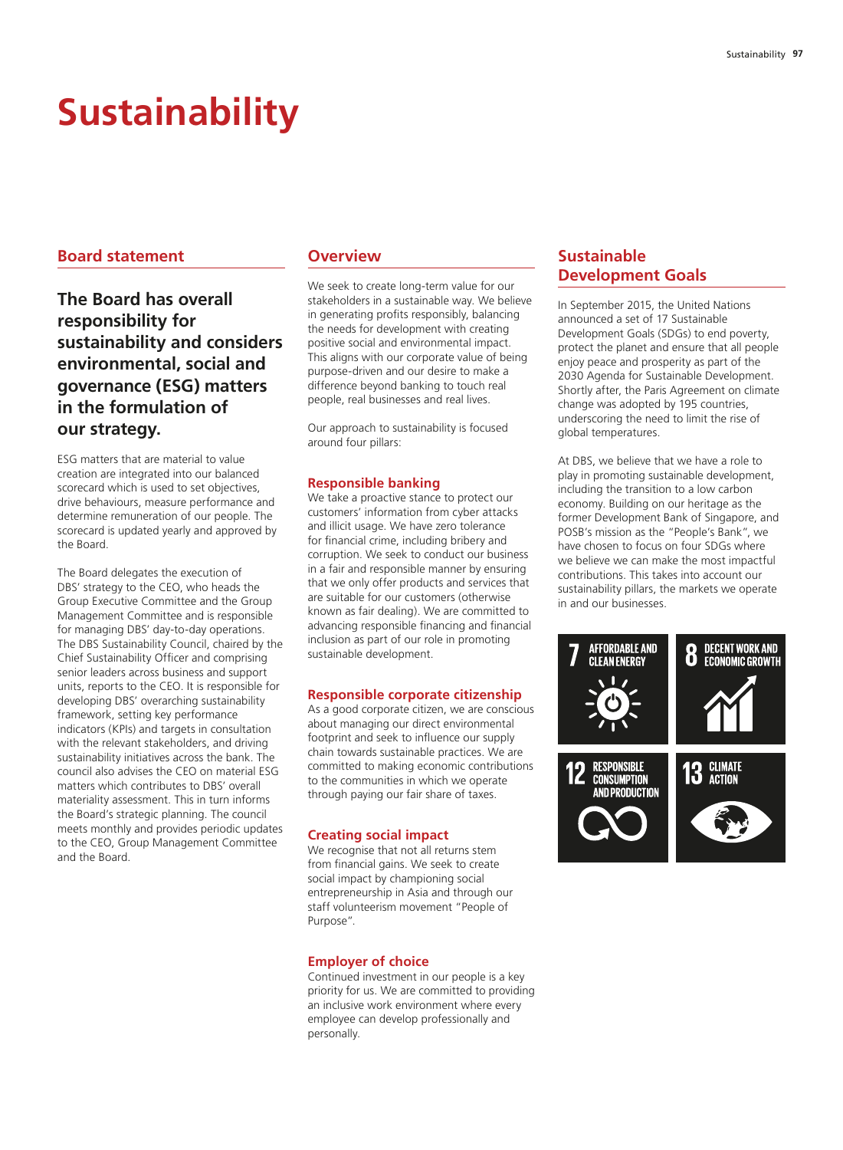# **Sustainability**

# **Board statement**

**The Board has overall responsibility for sustainability and considers environmental, social and governance (ESG) matters in the formulation of our strategy.**

ESG matters that are material to value creation are integrated into our balanced scorecard which is used to set objectives, drive behaviours, measure performance and determine remuneration of our people. The scorecard is updated yearly and approved by the Board.

The Board delegates the execution of DBS' strategy to the CEO, who heads the Group Executive Committee and the Group Management Committee and is responsible for managing DBS' day-to-day operations. The DBS Sustainability Council, chaired by the Chief Sustainability Officer and comprising senior leaders across business and support units, reports to the CEO. It is responsible for developing DBS' overarching sustainability framework, setting key performance indicators (KPIs) and targets in consultation with the relevant stakeholders, and driving sustainability initiatives across the bank. The council also advises the CEO on material ESG matters which contributes to DBS' overall materiality assessment. This in turn informs the Board's strategic planning. The council meets monthly and provides periodic updates to the CEO, Group Management Committee and the Board.

## **Overview**

We seek to create long-term value for our stakeholders in a sustainable way. We believe in generating profits responsibly, balancing the needs for development with creating positive social and environmental impact. This aligns with our corporate value of being purpose-driven and our desire to make a difference beyond banking to touch real people, real businesses and real lives.

Our approach to sustainability is focused around four pillars:

## **Responsible banking**

We take a proactive stance to protect our customers' information from cyber attacks and illicit usage. We have zero tolerance for financial crime, including bribery and corruption. We seek to conduct our business in a fair and responsible manner by ensuring that we only offer products and services that are suitable for our customers (otherwise known as fair dealing). We are committed to advancing responsible financing and financial inclusion as part of our role in promoting sustainable development.

#### **Responsible corporate citizenship**

As a good corporate citizen, we are conscious about managing our direct environmental footprint and seek to influence our supply chain towards sustainable practices. We are committed to making economic contributions to the communities in which we operate through paying our fair share of taxes.

#### **Creating social impact**

We recognise that not all returns stem from financial gains. We seek to create social impact by championing social entrepreneurship in Asia and through our staff volunteerism movement "People of Purpose".

#### **Employer of choice**

Continued investment in our people is a key priority for us. We are committed to providing an inclusive work environment where every employee can develop professionally and personally.

# **Sustainable Development Goals**

In September 2015, the United Nations announced a set of 17 Sustainable Development Goals (SDGs) to end poverty, protect the planet and ensure that all people enjoy peace and prosperity as part of the 2030 Agenda for Sustainable Development. Shortly after, the Paris Agreement on climate change was adopted by 195 countries, underscoring the need to limit the rise of global temperatures.

At DBS, we believe that we have a role to play in promoting sustainable development, including the transition to a low carbon economy. Building on our heritage as the former Development Bank of Singapore, and POSB's mission as the "People's Bank", we have chosen to focus on four SDGs where we believe we can make the most impactful contributions. This takes into account our sustainability pillars, the markets we operate in and our businesses.

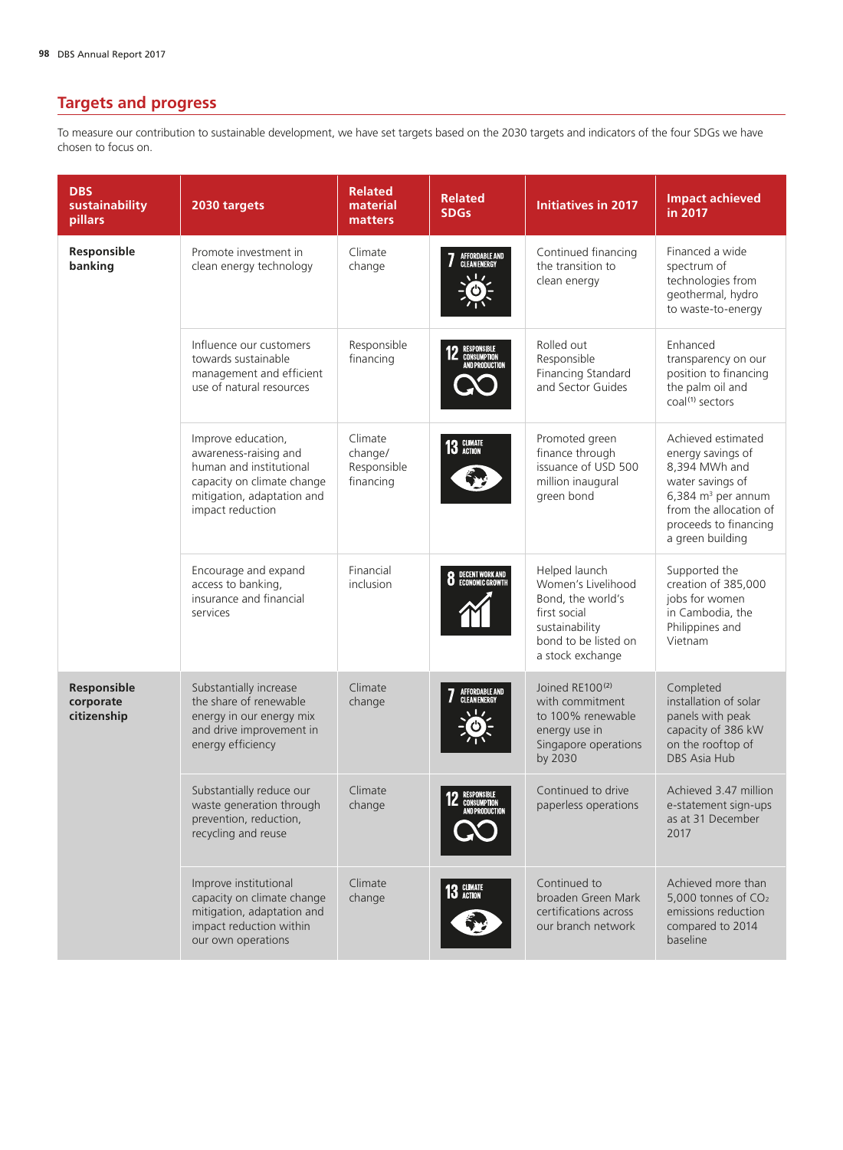# **Targets and progress**

To measure our contribution to sustainable development, we have set targets based on the 2030 targets and indicators of the four SDGs we have chosen to focus on.

| <b>DBS</b><br>sustainability<br>pillars | 2030 targets                                                                                                                                           | <b>Related</b><br>material<br>matters          | <b>Related</b><br><b>SDGs</b>                       | <b>Initiatives in 2017</b>                                                                                                             | <b>Impact achieved</b><br>in 2017                                                                                                                                           |
|-----------------------------------------|--------------------------------------------------------------------------------------------------------------------------------------------------------|------------------------------------------------|-----------------------------------------------------|----------------------------------------------------------------------------------------------------------------------------------------|-----------------------------------------------------------------------------------------------------------------------------------------------------------------------------|
| Responsible<br>banking                  | Promote investment in<br>clean energy technology                                                                                                       | Climate<br>change                              | AFFORDABLE AND<br>Clean Energy                      | Continued financing<br>the transition to<br>clean energy                                                                               | Financed a wide<br>spectrum of<br>technologies from<br>geothermal, hydro<br>to waste-to-energy                                                                              |
|                                         | Influence our customers<br>towards sustainable<br>management and efficient<br>use of natural resources                                                 | Responsible<br>financing                       | RESPONSIBLE<br>Consumption<br>And production        | Rolled out<br>Responsible<br>Financing Standard<br>and Sector Guides                                                                   | Enhanced<br>transparency on our<br>position to financing<br>the palm oil and<br>coal <sup>(1)</sup> sectors                                                                 |
|                                         | Improve education,<br>awareness-raising and<br>human and institutional<br>capacity on climate change<br>mitigation, adaptation and<br>impact reduction | Climate<br>change/<br>Responsible<br>financing | 13 GLIMATE                                          | Promoted green<br>finance through<br>issuance of USD 500<br>million inaugural<br>green bond                                            | Achieved estimated<br>energy savings of<br>8.394 MWh and<br>water savings of<br>6,384 $m3$ per annum<br>from the allocation of<br>proceeds to financing<br>a green building |
|                                         | Encourage and expand<br>access to banking,<br>insurance and financial<br>services                                                                      | Financial<br>inclusion                         | <b>8</b> DECENT WORK AND                            | Helped launch<br>Women's Livelihood<br>Bond, the world's<br>first social<br>sustainability<br>bond to be listed on<br>a stock exchange | Supported the<br>creation of 385,000<br>jobs for women<br>in Cambodia, the<br>Philippines and<br>Vietnam                                                                    |
| Responsible<br>corporate<br>citizenship | Substantially increase<br>the share of renewable<br>energy in our energy mix<br>and drive improvement in<br>energy efficiency                          | Climate<br>change                              | AFFORDABLE AND<br>Clean Energy                      | Joined RE100 <sup>(2)</sup><br>with commitment<br>to 100% renewable<br>energy use in<br>Singapore operations<br>by 2030                | Completed<br>installation of solar<br>panels with peak<br>capacity of 386 kW<br>on the rooftop of<br><b>DBS Asia Hub</b>                                                    |
|                                         | Substantially reduce our<br>waste generation through<br>prevention, reduction,<br>recycling and reuse                                                  | Climate<br>change                              | RESPONSIBLE<br>CONSUMPTION<br><b>AND PRODUCTION</b> | Continued to drive<br>paperless operations                                                                                             | Achieved 3.47 million<br>e-statement sign-ups<br>as at 31 December<br>2017                                                                                                  |
|                                         | Improve institutional<br>capacity on climate change<br>mitigation, adaptation and<br>impact reduction within<br>our own operations                     | Climate<br>change                              | 13 GLIMATE                                          | Continued to<br>broaden Green Mark<br>certifications across<br>our branch network                                                      | Achieved more than<br>5,000 tonnes of CO <sub>2</sub><br>emissions reduction<br>compared to 2014<br>baseline                                                                |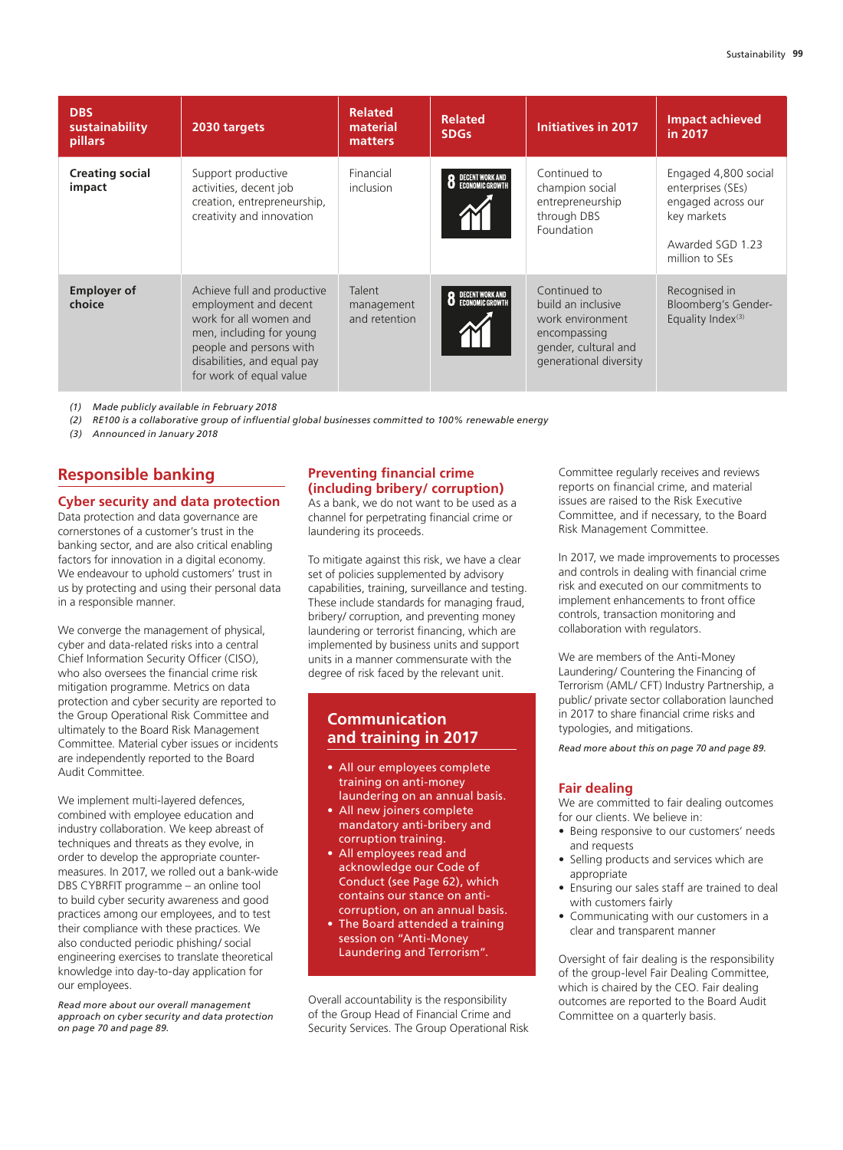| <b>DBS</b><br>sustainability<br>pillars | 2030 targets                                                                                                                                                                                    | <b>Related</b><br>material<br>matters | <b>Related</b><br><b>SDGs</b>      | <b>Initiatives in 2017</b>                                                                                               | <b>Impact achieved</b><br>in 2017                                                                                    |
|-----------------------------------------|-------------------------------------------------------------------------------------------------------------------------------------------------------------------------------------------------|---------------------------------------|------------------------------------|--------------------------------------------------------------------------------------------------------------------------|----------------------------------------------------------------------------------------------------------------------|
| <b>Creating social</b><br>impact        | Support productive<br>activities, decent job<br>creation, entrepreneurship,<br>creativity and innovation                                                                                        | Financial<br>inclusion                | DECENT WORK AND<br>Economic Growth | Continued to<br>champion social<br>entrepreneurship<br>through DBS<br>Foundation                                         | Engaged 4,800 social<br>enterprises (SEs)<br>engaged across our<br>key markets<br>Awarded SGD 1.23<br>million to SEs |
| <b>Employer of</b><br>choice            | Achieve full and productive<br>employment and decent<br>work for all women and<br>men, including for young<br>people and persons with<br>disabilities, and equal pay<br>for work of equal value | Talent<br>management<br>and retention | DECENT WORK AND<br>Economic Growth | Continued to<br>build an inclusive<br>work environment<br>encompassing<br>gender, cultural and<br>generational diversity | Recognised in<br>Bloomberg's Gender-<br>Equality Index <sup>(3)</sup>                                                |

*(1) Made publicly available in February 2018*

*(2) RE100 is a collaborative group of influential global businesses committed to 100% renewable energy*

*(3) Announced in January 2018*

# **Responsible banking**

## **Cyber security and data protection**

Data protection and data governance are cornerstones of a customer's trust in the banking sector, and are also critical enabling factors for innovation in a digital economy. We endeavour to uphold customers' trust in us by protecting and using their personal data in a responsible manner.

We converge the management of physical, cyber and data-related risks into a central Chief Information Security Officer (CISO), who also oversees the financial crime risk mitigation programme. Metrics on data protection and cyber security are reported to the Group Operational Risk Committee and ultimately to the Board Risk Management Committee. Material cyber issues or incidents are independently reported to the Board Audit Committee.

We implement multi-layered defences, combined with employee education and industry collaboration. We keep abreast of techniques and threats as they evolve, in order to develop the appropriate countermeasures. In 2017, we rolled out a bank-wide DBS CYBRFIT programme – an online tool to build cyber security awareness and good practices among our employees, and to test their compliance with these practices. We also conducted periodic phishing/ social engineering exercises to translate theoretical knowledge into day-to-day application for our employees.

*Read more about our overall management approach on cyber security and data protection on page 70 and page 89.*

#### **Preventing financial crime (including bribery/ corruption)**

As a bank, we do not want to be used as a channel for perpetrating financial crime or laundering its proceeds.

To mitigate against this risk, we have a clear set of policies supplemented by advisory capabilities, training, surveillance and testing. These include standards for managing fraud, bribery/ corruption, and preventing money laundering or terrorist financing, which are implemented by business units and support units in a manner commensurate with the degree of risk faced by the relevant unit.

# **Communication and training in 2017**

- All our employees complete training on anti-money laundering on an annual basis.
- All new joiners complete mandatory anti-bribery and corruption training.
- All employees read and acknowledge our Code of Conduct (see Page 62), which contains our stance on anticorruption, on an annual basis.
- The Board attended a training session on "Anti-Money Laundering and Terrorism".

Overall accountability is the responsibility of the Group Head of Financial Crime and Security Services. The Group Operational Risk

Committee regularly receives and reviews reports on financial crime, and material issues are raised to the Risk Executive Committee, and if necessary, to the Board Risk Management Committee.

In 2017, we made improvements to processes and controls in dealing with financial crime risk and executed on our commitments to implement enhancements to front office controls, transaction monitoring and collaboration with regulators.

We are members of the Anti-Money Laundering/ Countering the Financing of Terrorism (AML/ CFT) Industry Partnership, a public/ private sector collaboration launched in 2017 to share financial crime risks and typologies, and mitigations.

*Read more about this on page 70 and page 89.*

#### **Fair dealing**

We are committed to fair dealing outcomes for our clients. We believe in:

- Being responsive to our customers' needs and requests
- Selling products and services which are appropriate
- Ensuring our sales staff are trained to deal with customers fairly
- Communicating with our customers in a clear and transparent manner

Oversight of fair dealing is the responsibility of the group-level Fair Dealing Committee, which is chaired by the CEO. Fair dealing outcomes are reported to the Board Audit Committee on a quarterly basis.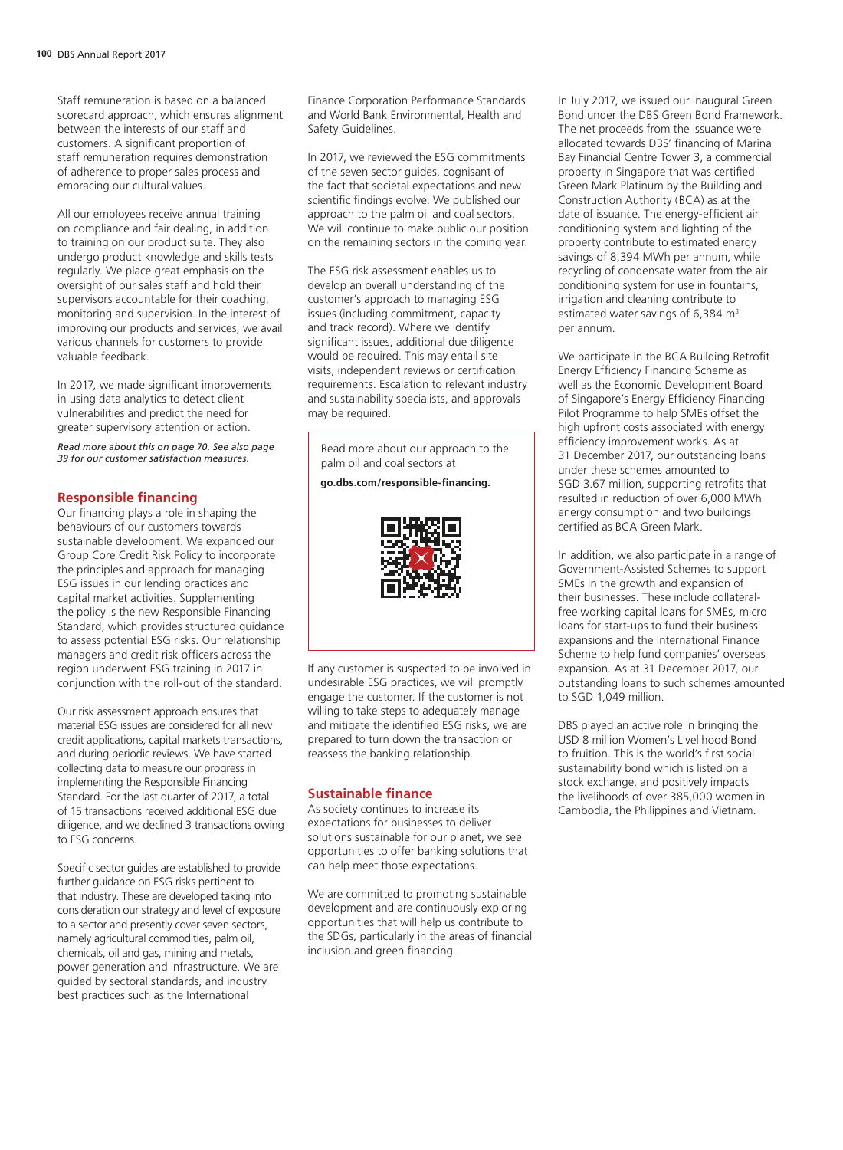Staff remuneration is based on a balanced scorecard approach, which ensures alignment between the interests of our staff and customers. A significant proportion of staff remuneration requires demonstration of adherence to proper sales process and embracing our cultural values.

All our employees receive annual training on compliance and fair dealing, in addition to training on our product suite. They also undergo product knowledge and skills tests regularly. We place great emphasis on the oversight of our sales staff and hold their supervisors accountable for their coaching, monitoring and supervision. In the interest of improving our products and services, we avail various channels for customers to provide valuable feedback.

In 2017, we made significant improvements in using data analytics to detect client vulnerabilities and predict the need for greater supervisory attention or action.

*Read more about this on page 70. See also page 39 for our customer satisfaction measures.*

#### **Responsible financing**

Our financing plays a role in shaping the behaviours of our customers towards sustainable development. We expanded our Group Core Credit Risk Policy to incorporate the principles and approach for managing ESG issues in our lending practices and capital market activities. Supplementing the policy is the new Responsible Financing Standard, which provides structured guidance to assess potential ESG risks. Our relationship managers and credit risk officers across the region underwent ESG training in 2017 in conjunction with the roll-out of the standard.

Our risk assessment approach ensures that material ESG issues are considered for all new credit applications, capital markets transactions, and during periodic reviews. We have started collecting data to measure our progress in implementing the Responsible Financing Standard. For the last quarter of 2017, a total of 15 transactions received additional ESG due diligence, and we declined 3 transactions owing to ESG concerns.

Specific sector guides are established to provide further guidance on ESG risks pertinent to that industry. These are developed taking into consideration our strategy and level of exposure to a sector and presently cover seven sectors, namely agricultural commodities, palm oil, chemicals, oil and gas, mining and metals, power generation and infrastructure. We are guided by sectoral standards, and industry best practices such as the International

Finance Corporation Performance Standards and World Bank Environmental, Health and Safety Guidelines.

In 2017, we reviewed the ESG commitments of the seven sector guides, cognisant of the fact that societal expectations and new scientific findings evolve. We published our approach to the palm oil and coal sectors. We will continue to make public our position on the remaining sectors in the coming year.

The ESG risk assessment enables us to develop an overall understanding of the customer's approach to managing ESG issues (including commitment, capacity and track record). Where we identify significant issues, additional due diligence would be required. This may entail site visits, independent reviews or certification requirements. Escalation to relevant industry and sustainability specialists, and approvals may be required.

Read more about our approach to the palm oil and coal sectors at

**go.dbs.com/responsible-financing.**



If any customer is suspected to be involved in undesirable ESG practices, we will promptly engage the customer. If the customer is not willing to take steps to adequately manage and mitigate the identified ESG risks, we are prepared to turn down the transaction or reassess the banking relationship.

#### **Sustainable finance**

As society continues to increase its expectations for businesses to deliver solutions sustainable for our planet, we see opportunities to offer banking solutions that can help meet those expectations.

We are committed to promoting sustainable development and are continuously exploring opportunities that will help us contribute to the SDGs, particularly in the areas of financial inclusion and green financing.

In July 2017, we issued our inaugural Green Bond under the DBS Green Bond Framework. The net proceeds from the issuance were allocated towards DBS' financing of Marina Bay Financial Centre Tower 3, a commercial property in Singapore that was certified Green Mark Platinum by the Building and Construction Authority (BCA) as at the date of issuance. The energy-efficient air conditioning system and lighting of the property contribute to estimated energy savings of 8,394 MWh per annum, while recycling of condensate water from the air conditioning system for use in fountains, irrigation and cleaning contribute to estimated water savings of 6,384  $\text{m}^3$ per annum.

We participate in the BCA Building Retrofit Energy Efficiency Financing Scheme as well as the Economic Development Board of Singapore's Energy Efficiency Financing Pilot Programme to help SMEs offset the high upfront costs associated with energy efficiency improvement works. As at 31 December 2017, our outstanding loans under these schemes amounted to SGD 3.67 million, supporting retrofits that resulted in reduction of over 6,000 MWh energy consumption and two buildings certified as BCA Green Mark.

In addition, we also participate in a range of Government-Assisted Schemes to support SMEs in the growth and expansion of their businesses. These include collateralfree working capital loans for SMEs, micro loans for start-ups to fund their business expansions and the International Finance Scheme to help fund companies' overseas expansion. As at 31 December 2017, our outstanding loans to such schemes amounted to SGD 1,049 million.

DBS played an active role in bringing the USD 8 million Women's Livelihood Bond to fruition. This is the world's first social sustainability bond which is listed on a stock exchange, and positively impacts the livelihoods of over 385,000 women in Cambodia, the Philippines and Vietnam.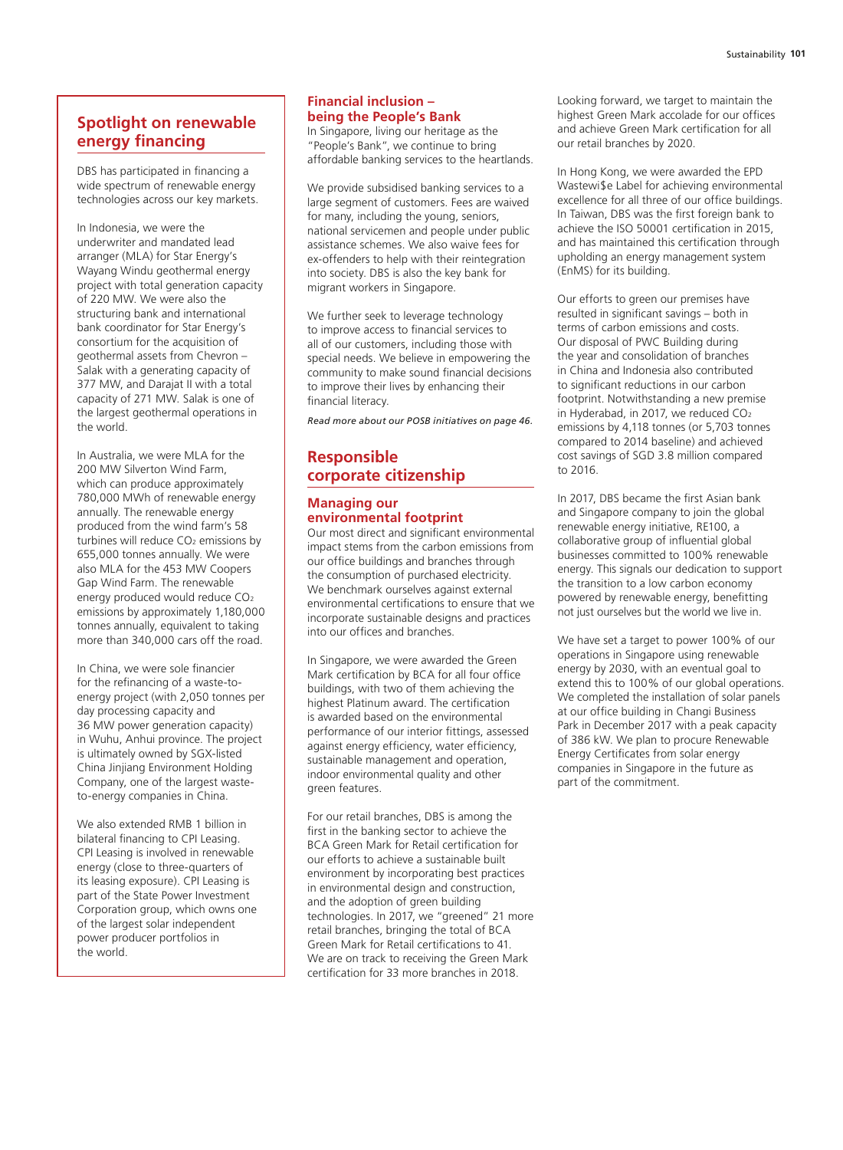# **Spotlight on renewable energy financing**

DBS has participated in financing a wide spectrum of renewable energy technologies across our key markets.

In Indonesia, we were the underwriter and mandated lead arranger (MLA) for Star Energy's Wayang Windu geothermal energy project with total generation capacity of 220 MW. We were also the structuring bank and international bank coordinator for Star Energy's consortium for the acquisition of geothermal assets from Chevron – Salak with a generating capacity of 377 MW, and Darajat II with a total capacity of 271 MW. Salak is one of the largest geothermal operations in the world.

In Australia, we were MLA for the 200 MW Silverton Wind Farm, which can produce approximately 780,000 MWh of renewable energy annually. The renewable energy produced from the wind farm's 58 turbines will reduce CO<sub>2</sub> emissions by 655,000 tonnes annually. We were also MLA for the 453 MW Coopers Gap Wind Farm. The renewable energy produced would reduce CO<sub>2</sub> emissions by approximately 1,180,000 tonnes annually, equivalent to taking more than 340,000 cars off the road.

In China, we were sole financier for the refinancing of a waste-toenergy project (with 2,050 tonnes per day processing capacity and 36 MW power generation capacity) in Wuhu, Anhui province. The project is ultimately owned by SGX-listed China Jinjiang Environment Holding Company, one of the largest wasteto-energy companies in China.

We also extended RMB 1 billion in bilateral financing to CPI Leasing. CPI Leasing is involved in renewable energy (close to three-quarters of its leasing exposure). CPI Leasing is part of the State Power Investment Corporation group, which owns one of the largest solar independent power producer portfolios in the world.

## **Financial inclusion – being the People's Bank**

In Singapore, living our heritage as the "People's Bank", we continue to bring affordable banking services to the heartlands.

We provide subsidised banking services to a large segment of customers. Fees are waived for many, including the young, seniors, national servicemen and people under public assistance schemes. We also waive fees for ex-offenders to help with their reintegration into society. DBS is also the key bank for migrant workers in Singapore.

We further seek to leverage technology to improve access to financial services to all of our customers, including those with special needs. We believe in empowering the community to make sound financial decisions to improve their lives by enhancing their financial literacy.

*Read more about our POSB initiatives on page 46.*

# **Responsible corporate citizenship**

## **Managing our environmental footprint**

Our most direct and significant environmental impact stems from the carbon emissions from our office buildings and branches through the consumption of purchased electricity. We benchmark ourselves against external environmental certifications to ensure that we incorporate sustainable designs and practices into our offices and branches.

In Singapore, we were awarded the Green Mark certification by BCA for all four office buildings, with two of them achieving the highest Platinum award. The certification is awarded based on the environmental performance of our interior fittings, assessed against energy efficiency, water efficiency, sustainable management and operation, indoor environmental quality and other green features.

For our retail branches, DBS is among the first in the banking sector to achieve the BCA Green Mark for Retail certification for our efforts to achieve a sustainable built environment by incorporating best practices in environmental design and construction, and the adoption of green building technologies. In 2017, we "greened" 21 more retail branches, bringing the total of BCA Green Mark for Retail certifications to 41. We are on track to receiving the Green Mark certification for 33 more branches in 2018.

Looking forward, we target to maintain the highest Green Mark accolade for our offices and achieve Green Mark certification for all our retail branches by 2020.

In Hong Kong, we were awarded the EPD Wastewi\$e Label for achieving environmental excellence for all three of our office buildings. In Taiwan, DBS was the first foreign bank to achieve the ISO 50001 certification in 2015, and has maintained this certification through upholding an energy management system (EnMS) for its building.

Our efforts to green our premises have resulted in significant savings – both in terms of carbon emissions and costs. Our disposal of PWC Building during the year and consolidation of branches in China and Indonesia also contributed to significant reductions in our carbon footprint. Notwithstanding a new premise in Hyderabad, in 2017, we reduced CO<sub>2</sub> emissions by 4,118 tonnes (or 5,703 tonnes compared to 2014 baseline) and achieved cost savings of SGD 3.8 million compared to 2016.

In 2017, DBS became the first Asian bank and Singapore company to join the global renewable energy initiative, RE100, a collaborative group of influential global businesses committed to 100% renewable energy. This signals our dedication to support the transition to a low carbon economy powered by renewable energy, benefitting not just ourselves but the world we live in.

We have set a target to power 100% of our operations in Singapore using renewable energy by 2030, with an eventual goal to extend this to 100% of our global operations. We completed the installation of solar panels at our office building in Changi Business Park in December 2017 with a peak capacity of 386 kW. We plan to procure Renewable Energy Certificates from solar energy companies in Singapore in the future as part of the commitment.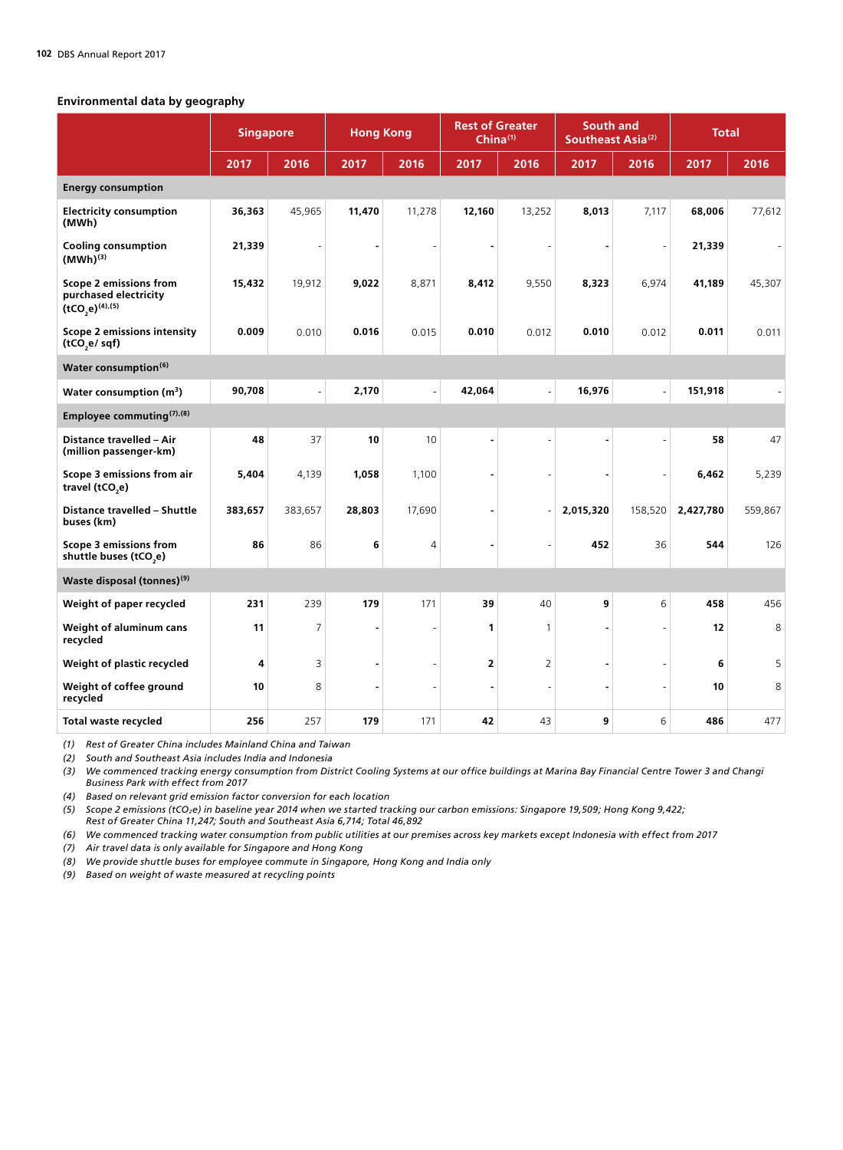## **Environmental data by geography**

|                                                                         | <b>Singapore</b> |                          | <b>Hong Kong</b> |                | <b>Rest of Greater</b><br>China $(1)$ |                          |           | <b>South and</b><br>Southeast Asia <sup>(2)</sup> | <b>Total</b> |         |
|-------------------------------------------------------------------------|------------------|--------------------------|------------------|----------------|---------------------------------------|--------------------------|-----------|---------------------------------------------------|--------------|---------|
|                                                                         | 2017             | 2016                     | 2017             | 2016           | 2017                                  | 2016                     | 2017      | 2016                                              | 2017         | 2016    |
| <b>Energy consumption</b>                                               |                  |                          |                  |                |                                       |                          |           |                                                   |              |         |
| <b>Electricity consumption</b><br>(MWh)                                 | 36,363           | 45,965                   | 11,470           | 11,278         | 12,160                                | 13,252                   | 8,013     | 7,117                                             | 68,006       | 77,612  |
| <b>Cooling consumption</b><br>$(MWh)^{(3)}$                             | 21,339           |                          |                  |                |                                       |                          |           |                                                   | 21,339       |         |
| Scope 2 emissions from<br>purchased electricity<br>$(tCO_2e)^{(4),(5)}$ | 15,432           | 19,912                   | 9,022            | 8,871          | 8,412                                 | 9,550                    | 8,323     | 6,974                                             | 41,189       | 45,307  |
| <b>Scope 2 emissions intensity</b><br>(tCO,e/sqf)                       | 0.009            | 0.010                    | 0.016            | 0.015          | 0.010                                 | 0.012                    | 0.010     | 0.012                                             | 0.011        | 0.011   |
| Water consumption <sup>(6)</sup>                                        |                  |                          |                  |                |                                       |                          |           |                                                   |              |         |
| Water consumption (m <sup>3</sup> )                                     | 90,708           | $\overline{\phantom{a}}$ | 2,170            | $\overline{a}$ | 42,064                                | $\overline{\phantom{a}}$ | 16,976    | $\overline{a}$                                    | 151,918      |         |
| Employee commuting <sup>(7),(8)</sup>                                   |                  |                          |                  |                |                                       |                          |           |                                                   |              |         |
| Distance travelled - Air<br>(million passenger-km)                      | 48               | 37                       | 10               | 10             | ٠                                     | L,                       | ٠         | L,                                                | 58           | 47      |
| Scope 3 emissions from air<br>travel (tCO <sub>2</sub> e)               | 5,404            | 4,139                    | 1,058            | 1,100          | ٠                                     |                          |           |                                                   | 6,462        | 5,239   |
| Distance travelled - Shuttle<br>buses (km)                              | 383,657          | 383,657                  | 28,803           | 17,690         | ۰                                     |                          | 2,015,320 | 158,520                                           | 2,427,780    | 559,867 |
| Scope 3 emissions from<br>shuttle buses (tCO <sub>2</sub> e)            | 86               | 86                       | 6                | 4              |                                       |                          | 452       | 36                                                | 544          | 126     |
| Waste disposal (tonnes) <sup>(9)</sup>                                  |                  |                          |                  |                |                                       |                          |           |                                                   |              |         |
| Weight of paper recycled                                                | 231              | 239                      | 179              | 171            | 39                                    | 40                       | 9         | 6                                                 | 458          | 456     |
| Weight of aluminum cans<br>recycled                                     | 11               | 7                        |                  |                | 1                                     | 1                        |           |                                                   | 12           | 8       |
| Weight of plastic recycled                                              | 4                | 3                        |                  |                | 2                                     | 2                        |           |                                                   | 6            | 5       |
| Weight of coffee ground<br>recycled                                     | 10               | 8                        |                  |                | ä,                                    | L,                       |           |                                                   | 10           | 8       |
| Total waste recycled                                                    | 256              | 257                      | 179              | 171            | 42                                    | 43                       | 9         | 6                                                 | 486          | 477     |

*(1) Rest of Greater China includes Mainland China and Taiwan*

*(2) South and Southeast Asia includes India and Indonesia*

*(3) We commenced tracking energy consumption from District Cooling Systems at our office buildings at Marina Bay Financial Centre Tower 3 and Changi Business Park with effect from 2017* 

*(4) Based on relevant grid emission factor conversion for each location*

*(5) Scope 2 emissions (tCO2e) in baseline year 2014 when we started tracking our carbon emissions: Singapore 19,509; Hong Kong 9,422;* 

*Rest of Greater China 11,247; South and Southeast Asia 6,714; Total 46,892*

*(6) We commenced tracking water consumption from public utilities at our premises across key markets except Indonesia with effect from 2017*

*(7) Air travel data is only available for Singapore and Hong Kong* 

*(8) We provide shuttle buses for employee commute in Singapore, Hong Kong and India only*

*(9) Based on weight of waste measured at recycling points*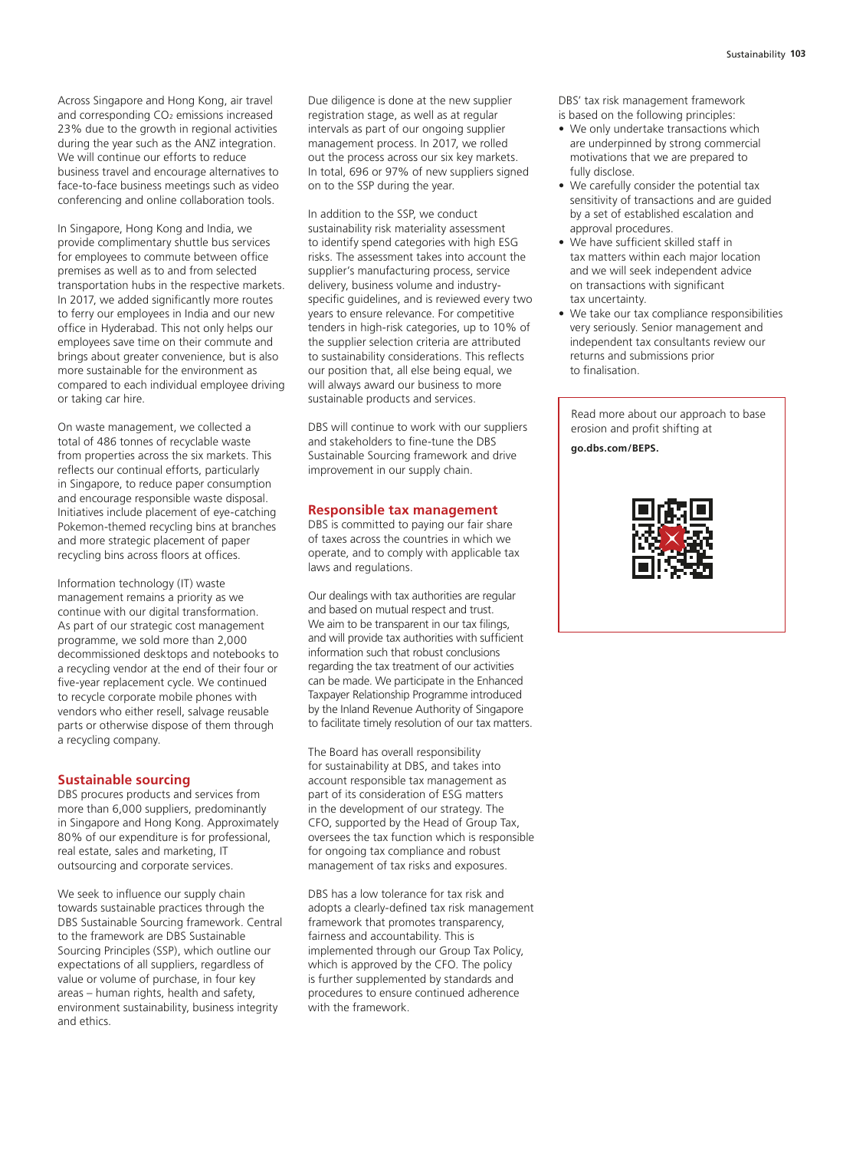Across Singapore and Hong Kong, air travel and corresponding CO<sub>2</sub> emissions increased 23% due to the growth in regional activities during the year such as the ANZ integration. We will continue our efforts to reduce business travel and encourage alternatives to face-to-face business meetings such as video conferencing and online collaboration tools.

In Singapore, Hong Kong and India, we provide complimentary shuttle bus services for employees to commute between office premises as well as to and from selected transportation hubs in the respective markets. In 2017, we added significantly more routes to ferry our employees in India and our new office in Hyderabad. This not only helps our employees save time on their commute and brings about greater convenience, but is also more sustainable for the environment as compared to each individual employee driving or taking car hire.

On waste management, we collected a total of 486 tonnes of recyclable waste from properties across the six markets. This reflects our continual efforts, particularly in Singapore, to reduce paper consumption and encourage responsible waste disposal. Initiatives include placement of eye-catching Pokemon-themed recycling bins at branches and more strategic placement of paper recycling bins across floors at offices.

Information technology (IT) waste management remains a priority as we continue with our digital transformation. As part of our strategic cost management programme, we sold more than 2,000 decommissioned desktops and notebooks to a recycling vendor at the end of their four or five-year replacement cycle. We continued to recycle corporate mobile phones with vendors who either resell, salvage reusable parts or otherwise dispose of them through a recycling company.

#### **Sustainable sourcing**

DBS procures products and services from more than 6,000 suppliers, predominantly in Singapore and Hong Kong. Approximately 80% of our expenditure is for professional, real estate, sales and marketing, IT outsourcing and corporate services.

We seek to influence our supply chain towards sustainable practices through the DBS Sustainable Sourcing framework. Central to the framework are DBS Sustainable Sourcing Principles (SSP), which outline our expectations of all suppliers, regardless of value or volume of purchase, in four key areas – human rights, health and safety, environment sustainability, business integrity and ethics.

Due diligence is done at the new supplier registration stage, as well as at regular intervals as part of our ongoing supplier management process. In 2017, we rolled out the process across our six key markets. In total, 696 or 97% of new suppliers signed on to the SSP during the year.

In addition to the SSP, we conduct sustainability risk materiality assessment to identify spend categories with high ESG risks. The assessment takes into account the supplier's manufacturing process, service delivery, business volume and industryspecific guidelines, and is reviewed every two years to ensure relevance. For competitive tenders in high-risk categories, up to 10% of the supplier selection criteria are attributed to sustainability considerations. This reflects our position that, all else being equal, we will always award our business to more sustainable products and services.

DBS will continue to work with our suppliers and stakeholders to fine-tune the DBS Sustainable Sourcing framework and drive improvement in our supply chain.

#### **Responsible tax management**

DBS is committed to paying our fair share of taxes across the countries in which we operate, and to comply with applicable tax laws and regulations.

Our dealings with tax authorities are regular and based on mutual respect and trust. We aim to be transparent in our tax filings, and will provide tax authorities with sufficient information such that robust conclusions regarding the tax treatment of our activities can be made. We participate in the Enhanced Taxpayer Relationship Programme introduced by the Inland Revenue Authority of Singapore to facilitate timely resolution of our tax matters.

The Board has overall responsibility for sustainability at DBS, and takes into account responsible tax management as part of its consideration of ESG matters in the development of our strategy. The CFO, supported by the Head of Group Tax, oversees the tax function which is responsible for ongoing tax compliance and robust management of tax risks and exposures.

DBS has a low tolerance for tax risk and adopts a clearly-defined tax risk management framework that promotes transparency, fairness and accountability. This is implemented through our Group Tax Policy, which is approved by the CFO. The policy is further supplemented by standards and procedures to ensure continued adherence with the framework.

DBS' tax risk management framework is based on the following principles:

- We only undertake transactions which are underpinned by strong commercial motivations that we are prepared to fully disclose.
- We carefully consider the potential tax sensitivity of transactions and are guided by a set of established escalation and approval procedures.
- We have sufficient skilled staff in tax matters within each major location and we will seek independent advice on transactions with significant tax uncertainty.
- We take our tax compliance responsibilities very seriously. Senior management and independent tax consultants review our returns and submissions prior to finalisation.

Read more about our approach to base erosion and profit shifting at

**go.dbs.com/BEPS.**

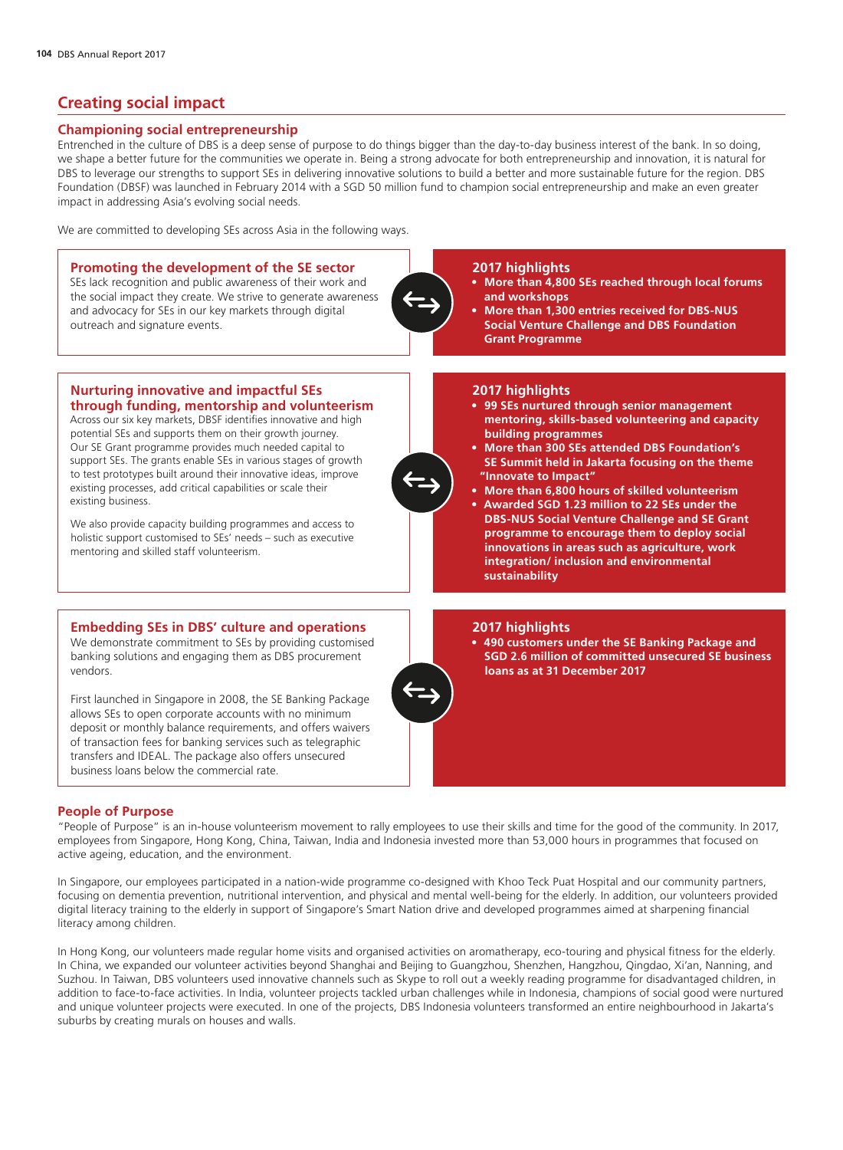# **Creating social impact**

## **Championing social entrepreneurship**

Entrenched in the culture of DBS is a deep sense of purpose to do things bigger than the day-to-day business interest of the bank. In so doing, we shape a better future for the communities we operate in. Being a strong advocate for both entrepreneurship and innovation, it is natural for DBS to leverage our strengths to support SEs in delivering innovative solutions to build a better and more sustainable future for the region. DBS Foundation (DBSF) was launched in February 2014 with a SGD 50 million fund to champion social entrepreneurship and make an even greater impact in addressing Asia's evolving social needs.

We are committed to developing SEs across Asia in the following ways.

# **Promoting the development of the SE sector**  SEs lack recognition and public awareness of their work and the social impact they create. We strive to generate awareness and advocacy for SEs in our key markets through digital outreach and signature events.

## **2017 highlights**

- **More than 4,800 SEs reached through local forums and workshops**
- **More than 1,300 entries received for DBS-NUS Social Venture Challenge and DBS Foundation Grant Programme**

#### **2017 highlights**

- **99 SEs nurtured through senior management mentoring, skills-based volunteering and capacity building programmes**
- **More than 300 SEs attended DBS Foundation's SE Summit held in Jakarta focusing on the theme "Innovate to Impact"**
- **More than 6,800 hours of skilled volunteerism**
- **Awarded SGD 1.23 million to 22 SEs under the DBS-NUS Social Venture Challenge and SE Grant programme to encourage them to deploy social innovations in areas such as agriculture, work integration/ inclusion and environmental sustainability**

#### **Nurturing innovative and impactful SEs through funding, mentorship and volunteerism**

Across our six key markets, DBSF identifies innovative and high potential SEs and supports them on their growth journey. Our SE Grant programme provides much needed capital to support SEs. The grants enable SEs in various stages of growth to test prototypes built around their innovative ideas, improve existing processes, add critical capabilities or scale their existing business.

We also provide capacity building programmes and access to holistic support customised to SEs' needs – such as executive mentoring and skilled staff volunteerism.

## **Embedding SEs in DBS' culture and operations**

We demonstrate commitment to SEs by providing customised banking solutions and engaging them as DBS procurement vendors.

First launched in Singapore in 2008, the SE Banking Package allows SEs to open corporate accounts with no minimum deposit or monthly balance requirements, and offers waivers of transaction fees for banking services such as telegraphic transfers and IDEAL. The package also offers unsecured business loans below the commercial rate.

#### **2017 highlights**

• **490 customers under the SE Banking Package and SGD 2.6 million of committed unsecured SE business loans as at 31 December 2017**

## **People of Purpose**

"People of Purpose" is an in-house volunteerism movement to rally employees to use their skills and time for the good of the community. In 2017, employees from Singapore, Hong Kong, China, Taiwan, India and Indonesia invested more than 53,000 hours in programmes that focused on active ageing, education, and the environment.

In Singapore, our employees participated in a nation-wide programme co-designed with Khoo Teck Puat Hospital and our community partners, focusing on dementia prevention, nutritional intervention, and physical and mental well-being for the elderly. In addition, our volunteers provided digital literacy training to the elderly in support of Singapore's Smart Nation drive and developed programmes aimed at sharpening financial literacy among children.

In Hong Kong, our volunteers made regular home visits and organised activities on aromatherapy, eco-touring and physical fitness for the elderly. In China, we expanded our volunteer activities beyond Shanghai and Beijing to Guangzhou, Shenzhen, Hangzhou, Qingdao, Xi'an, Nanning, and Suzhou. In Taiwan, DBS volunteers used innovative channels such as Skype to roll out a weekly reading programme for disadvantaged children, in addition to face-to-face activities. In India, volunteer projects tackled urban challenges while in Indonesia, champions of social good were nurtured and unique volunteer projects were executed. In one of the projects, DBS Indonesia volunteers transformed an entire neighbourhood in Jakarta's suburbs by creating murals on houses and walls.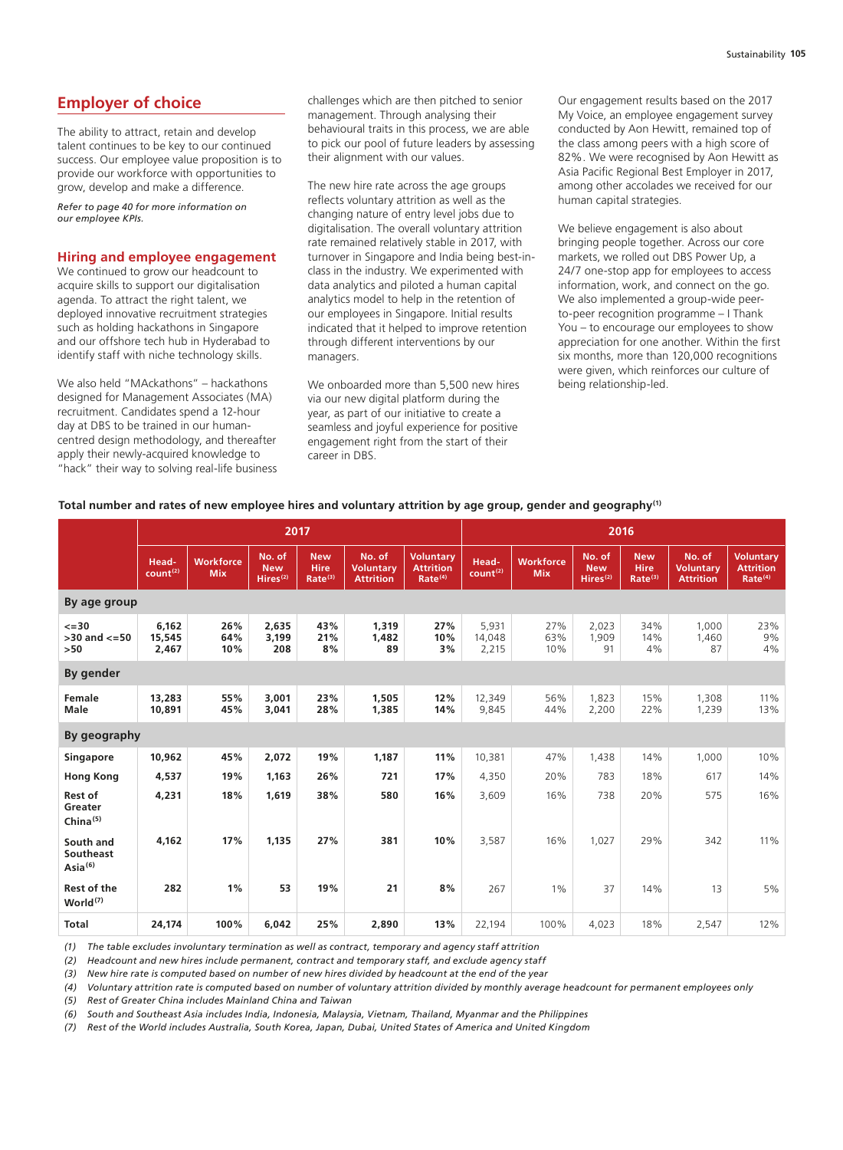# **Employer of choice**

The ability to attract, retain and develop talent continues to be key to our continued success. Our employee value proposition is to provide our workforce with opportunities to grow, develop and make a difference.

*Refer to page 40 for more information on our employee KPIs.*

#### **Hiring and employee engagement**

We continued to grow our headcount to acquire skills to support our digitalisation agenda. To attract the right talent, we deployed innovative recruitment strategies such as holding hackathons in Singapore and our offshore tech hub in Hyderabad to identify staff with niche technology skills.

We also held "MAckathons" – hackathons designed for Management Associates (MA) recruitment. Candidates spend a 12-hour day at DBS to be trained in our humancentred design methodology, and thereafter apply their newly-acquired knowledge to "hack" their way to solving real-life business

challenges which are then pitched to senior management. Through analysing their behavioural traits in this process, we are able to pick our pool of future leaders by assessing their alignment with our values.

The new hire rate across the age groups reflects voluntary attrition as well as the changing nature of entry level jobs due to digitalisation. The overall voluntary attrition rate remained relatively stable in 2017, with turnover in Singapore and India being best-inclass in the industry. We experimented with data analytics and piloted a human capital analytics model to help in the retention of our employees in Singapore. Initial results indicated that it helped to improve retention through different interventions by our managers.

We onboarded more than 5,500 new hires via our new digital platform during the year, as part of our initiative to create a seamless and joyful experience for positive engagement right from the start of their career in DBS.

Our engagement results based on the 2017 My Voice, an employee engagement survey conducted by Aon Hewitt, remained top of the class among peers with a high score of 82%. We were recognised by Aon Hewitt as Asia Pacific Regional Best Employer in 2017, among other accolades we received for our human capital strategies.

We believe engagement is also about bringing people together. Across our core markets, we rolled out DBS Power Up, a 24/7 one-stop app for employees to access information, work, and connect on the go. We also implemented a group-wide peerto-peer recognition programme – I Thank You – to encourage our employees to show appreciation for one another. Within the first six months, more than 120,000 recognitions were given, which reinforces our culture of being relationship-led.

#### **Total number and rates of new employee hires and voluntary attrition by age group, gender and geography(1)**

|                                               | 2017                          |                                |                                              |                                                  |                                                | 2016                                                        |                               |                                |                                              |                                                  |                                                |                                                             |
|-----------------------------------------------|-------------------------------|--------------------------------|----------------------------------------------|--------------------------------------------------|------------------------------------------------|-------------------------------------------------------------|-------------------------------|--------------------------------|----------------------------------------------|--------------------------------------------------|------------------------------------------------|-------------------------------------------------------------|
|                                               | Head-<br>count <sup>(2)</sup> | <b>Workforce</b><br><b>Mix</b> | No. of<br><b>New</b><br>Hires <sup>(2)</sup> | <b>New</b><br><b>Hire</b><br>Rate <sup>(3)</sup> | No. of<br><b>Voluntary</b><br><b>Attrition</b> | <b>Voluntary</b><br><b>Attrition</b><br>Rate <sup>(4)</sup> | Head-<br>count <sup>(2)</sup> | <b>Workforce</b><br><b>Mix</b> | No. of<br><b>New</b><br>Hires <sup>(2)</sup> | <b>New</b><br><b>Hire</b><br>Rate <sup>(3)</sup> | No. of<br><b>Voluntary</b><br><b>Attrition</b> | <b>Voluntary</b><br><b>Attrition</b><br>Rate <sup>(4)</sup> |
| By age group                                  |                               |                                |                                              |                                                  |                                                |                                                             |                               |                                |                                              |                                                  |                                                |                                                             |
| $\leq$ = 30<br>$>30$ and $<=50$<br>$>50$      | 6.162<br>15,545<br>2,467      | 26%<br>64%<br>10%              | 2,635<br>3,199<br>208                        | 43%<br>21%<br>8%                                 | 1,319<br>1,482<br>89                           | 27%<br>10%<br>3%                                            | 5,931<br>14,048<br>2,215      | 27%<br>63%<br>10%              | 2,023<br>1,909<br>91                         | 34%<br>14%<br>4%                                 | 1,000<br>1,460<br>87                           | 23%<br>9%<br>4%                                             |
| By gender                                     |                               |                                |                                              |                                                  |                                                |                                                             |                               |                                |                                              |                                                  |                                                |                                                             |
| Female<br>Male                                | 13,283<br>10,891              | 55%<br>45%                     | 3,001<br>3.041                               | 23%<br>28%                                       | 1,505<br>1,385                                 | 12%<br>14%                                                  | 12,349<br>9,845               | 56%<br>44%                     | 1,823<br>2,200                               | 15%<br>22%                                       | 1,308<br>1,239                                 | 11%<br>13%                                                  |
| By geography                                  |                               |                                |                                              |                                                  |                                                |                                                             |                               |                                |                                              |                                                  |                                                |                                                             |
| <b>Singapore</b>                              | 10,962                        | 45%                            | 2,072                                        | 19%                                              | 1,187                                          | 11%                                                         | 10,381                        | 47%                            | 1.438                                        | 14%                                              | 1,000                                          | 10%                                                         |
| <b>Hong Kong</b>                              | 4,537                         | 19%                            | 1,163                                        | 26%                                              | 721                                            | 17%                                                         | 4,350                         | 20%                            | 783                                          | 18%                                              | 617                                            | 14%                                                         |
| Rest of<br>Greater<br>China <sup>(5)</sup>    | 4,231                         | 18%                            | 1,619                                        | 38%                                              | 580                                            | 16%                                                         | 3,609                         | 16%                            | 738                                          | 20%                                              | 575                                            | 16%                                                         |
| South and<br>Southeast<br>Asia <sup>(6)</sup> | 4,162                         | 17%                            | 1,135                                        | 27%                                              | 381                                            | 10%                                                         | 3,587                         | 16%                            | 1,027                                        | 29%                                              | 342                                            | 11%                                                         |
| <b>Rest of the</b><br>World <sup>(7)</sup>    | 282                           | 1%                             | 53                                           | 19%                                              | 21                                             | 8%                                                          | 267                           | 1%                             | 37                                           | 14%                                              | 13                                             | 5%                                                          |
| <b>Total</b>                                  | 24,174                        | 100%                           | 6.042                                        | 25%                                              | 2,890                                          | 13%                                                         | 22,194                        | 100%                           | 4,023                                        | 18%                                              | 2,547                                          | 12%                                                         |

*(1) The table excludes involuntary termination as well as contract, temporary and agency staff attrition*

*(2) Headcount and new hires include permanent, contract and temporary staff, and exclude agency staff*

*(3) New hire rate is computed based on number of new hires divided by headcount at the end of the year*

*(4) Voluntary attrition rate is computed based on number of voluntary attrition divided by monthly average headcount for permanent employees only*

*(5) Rest of Greater China includes Mainland China and Taiwan*

*(6) South and Southeast Asia includes India, Indonesia, Malaysia, Vietnam, Thailand, Myanmar and the Philippines*

*(7) Rest of the World includes Australia, South Korea, Japan, Dubai, United States of America and United Kingdom*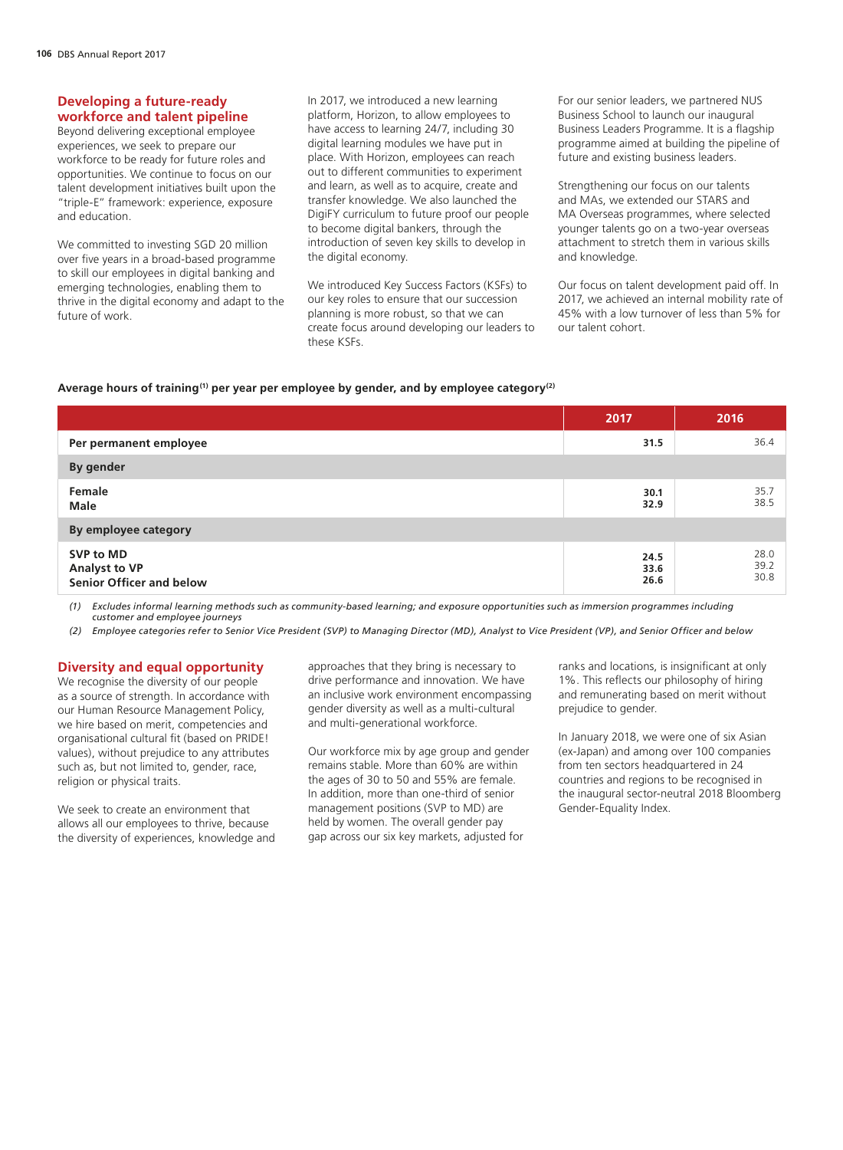#### **Developing a future-ready workforce and talent pipeline**

Beyond delivering exceptional employee experiences, we seek to prepare our workforce to be ready for future roles and opportunities. We continue to focus on our talent development initiatives built upon the "triple-E" framework: experience, exposure and education.

We committed to investing SGD 20 million over five years in a broad-based programme to skill our employees in digital banking and emerging technologies, enabling them to thrive in the digital economy and adapt to the future of work.

In 2017, we introduced a new learning platform, Horizon, to allow employees to have access to learning 24/7, including 30 digital learning modules we have put in place. With Horizon, employees can reach out to different communities to experiment and learn, as well as to acquire, create and transfer knowledge. We also launched the DigiFY curriculum to future proof our people to become digital bankers, through the introduction of seven key skills to develop in the digital economy.

We introduced Key Success Factors (KSFs) to our key roles to ensure that our succession planning is more robust, so that we can create focus around developing our leaders to these KSFs.

For our senior leaders, we partnered NUS Business School to launch our inaugural Business Leaders Programme. It is a flagship programme aimed at building the pipeline of future and existing business leaders.

Strengthening our focus on our talents and MAs, we extended our STARS and MA Overseas programmes, where selected younger talents go on a two-year overseas attachment to stretch them in various skills and knowledge.

Our focus on talent development paid off. In 2017, we achieved an internal mobility rate of 45% with a low turnover of less than 5% for our talent cohort.

#### **Average hours of training(1) per year per employee by gender, and by employee category(2)**

|                                                        | 2017                 | 2016                 |
|--------------------------------------------------------|----------------------|----------------------|
| Per permanent employee                                 | 31.5                 | 36.4                 |
| By gender                                              |                      |                      |
| Female<br><b>Male</b>                                  | 30.1<br>32.9         | 35.7<br>38.5         |
| By employee category                                   |                      |                      |
| SVP to MD<br>Analyst to VP<br>Senior Officer and below | 24.5<br>33.6<br>26.6 | 28.0<br>39.2<br>30.8 |

*(1) Excludes informal learning methods such as community-based learning; and exposure opportunities such as immersion programmes including customer and employee journeys*

*(2) Employee categories refer to Senior Vice President (SVP) to Managing Director (MD), Analyst to Vice President (VP), and Senior Officer and below*

#### **Diversity and equal opportunity**

We recognise the diversity of our people as a source of strength. In accordance with our Human Resource Management Policy, we hire based on merit, competencies and organisational cultural fit (based on PRIDE! values), without prejudice to any attributes such as, but not limited to, gender, race, religion or physical traits.

We seek to create an environment that allows all our employees to thrive, because the diversity of experiences, knowledge and approaches that they bring is necessary to drive performance and innovation. We have an inclusive work environment encompassing gender diversity as well as a multi-cultural and multi-generational workforce.

Our workforce mix by age group and gender remains stable. More than 60% are within the ages of 30 to 50 and 55% are female. In addition, more than one-third of senior management positions (SVP to MD) are held by women. The overall gender pay gap across our six key markets, adjusted for

ranks and locations, is insignificant at only 1%. This reflects our philosophy of hiring and remunerating based on merit without prejudice to gender.

In January 2018, we were one of six Asian (ex-Japan) and among over 100 companies from ten sectors headquartered in 24 countries and regions to be recognised in the inaugural sector-neutral 2018 Bloomberg Gender-Equality Index.